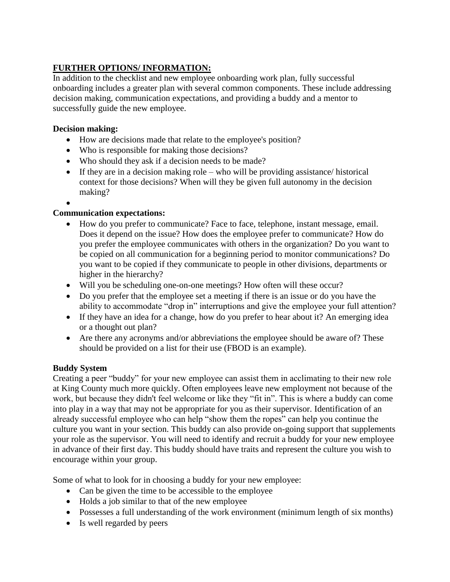# **FURTHER OPTIONS/ INFORMATION:**

In addition to the checklist and new employee onboarding work plan, fully successful onboarding includes a greater plan with several common components. These include addressing decision making, communication expectations, and providing a buddy and a mentor to successfully guide the new employee.

### **Decision making:**

- How are decisions made that relate to the employee's position?
- Who is responsible for making those decisions?
- Who should they ask if a decision needs to be made?
- If they are in a decision making role who will be providing assistance/ historical context for those decisions? When will they be given full autonomy in the decision making?
- $\bullet$

### **Communication expectations:**

- How do you prefer to communicate? Face to face, telephone, instant message, email. Does it depend on the issue? How does the employee prefer to communicate? How do you prefer the employee communicates with others in the organization? Do you want to be copied on all communication for a beginning period to monitor communications? Do you want to be copied if they communicate to people in other divisions, departments or higher in the hierarchy?
- Will you be scheduling one-on-one meetings? How often will these occur?
- Do you prefer that the employee set a meeting if there is an issue or do you have the ability to accommodate "drop in" interruptions and give the employee your full attention?
- If they have an idea for a change, how do you prefer to hear about it? An emerging idea or a thought out plan?
- Are there any acronyms and/or abbreviations the employee should be aware of? These should be provided on a list for their use (FBOD is an example).

# **Buddy System**

Creating a peer "buddy" for your new employee can assist them in acclimating to their new role at King County much more quickly. Often employees leave new employment not because of the work, but because they didn't feel welcome or like they "fit in". This is where a buddy can come into play in a way that may not be appropriate for you as their supervisor. Identification of an already successful employee who can help "show them the ropes" can help you continue the culture you want in your section. This buddy can also provide on-going support that supplements your role as the supervisor. You will need to identify and recruit a buddy for your new employee in advance of their first day. This buddy should have traits and represent the culture you wish to encourage within your group.

Some of what to look for in choosing a buddy for your new employee:

- Can be given the time to be accessible to the employee
- Holds a job similar to that of the new employee
- Possesses a full understanding of the work environment (minimum length of six months)
- Is well regarded by peers